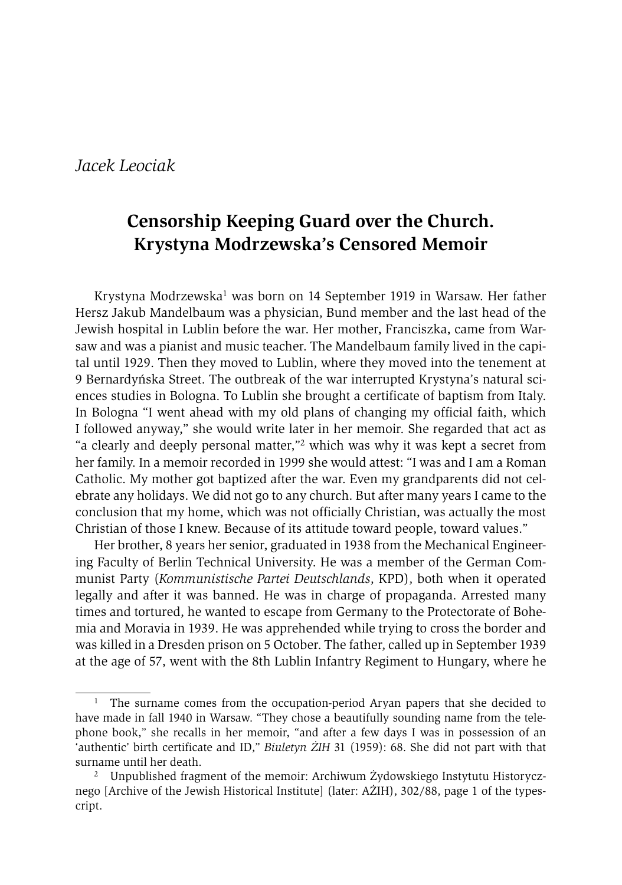# *Jacek Leociak*

# **Censorship Keeping Guard over the Church. Krystyna Modrzewska's Censored Memoir**

Krystyna Modrzewska<sup>1</sup> was born on 14 September 1919 in Warsaw. Her father Hersz Jakub Mandelbaum was a physician, Bund member and the last head of the Jewish hospital in Lublin before the war. Her mother, Franciszka, came from Warsaw and was a pianist and music teacher. The Mandelbaum family lived in the capital until 1929. Then they moved to Lublin, where they moved into the tenement at 9 Bernardyńska Street. The outbreak of the war interrupted Krystyna's natural sciences studies in Bologna. To Lublin she brought a certificate of baptism from Italy. In Bologna "I went ahead with my old plans of changing my official faith, which I followed anyway," she would write later in her memoir. She regarded that act as "a clearly and deeply personal matter,"2 which was why it was kept a secret from her family. In a memoir recorded in 1999 she would attest: "I was and I am a Roman Catholic. My mother got baptized after the war. Even my grandparents did not celebrate any holidays. We did not go to any church. But after many years I came to the conclusion that my home, which was not officially Christian, was actually the most Christian of those I knew. Because of its attitude toward people, toward values."

Her brother, 8 years her senior, graduated in 1938 from the Mechanical Engineering Faculty of Berlin Technical University. He was a member of the German Communist Party (*Kommunistische Partei Deutschlands*, KPD), both when it operated legally and after it was banned. He was in charge of propaganda. Arrested many times and tortured, he wanted to escape from Germany to the Protectorate of Bohemia and Moravia in 1939. He was apprehended while trying to cross the border and was killed in a Dresden prison on 5 October. The father, called up in September 1939 at the age of 57, went with the 8th Lublin Infantry Regiment to Hungary, where he

<sup>&</sup>lt;sup>1</sup> The surname comes from the occupation-period Aryan papers that she decided to have made in fall 1940 in Warsaw. "They chose a beautifully sounding name from the telephone book," she recalls in her memoir, "and after a few days I was in possession of an 'authentic' birth certificate and ID," *Biuletyn ŻIH* 31 (1959): 68. She did not part with that surname until her death.<br><sup>2</sup> Unpublished fragment of the memoir: Archiwum Żydowskiego Instytutu Historycz-

nego [Archive of the Jewish Historical Institute] (later: AŻIH), 302/88, page 1 of the typescript.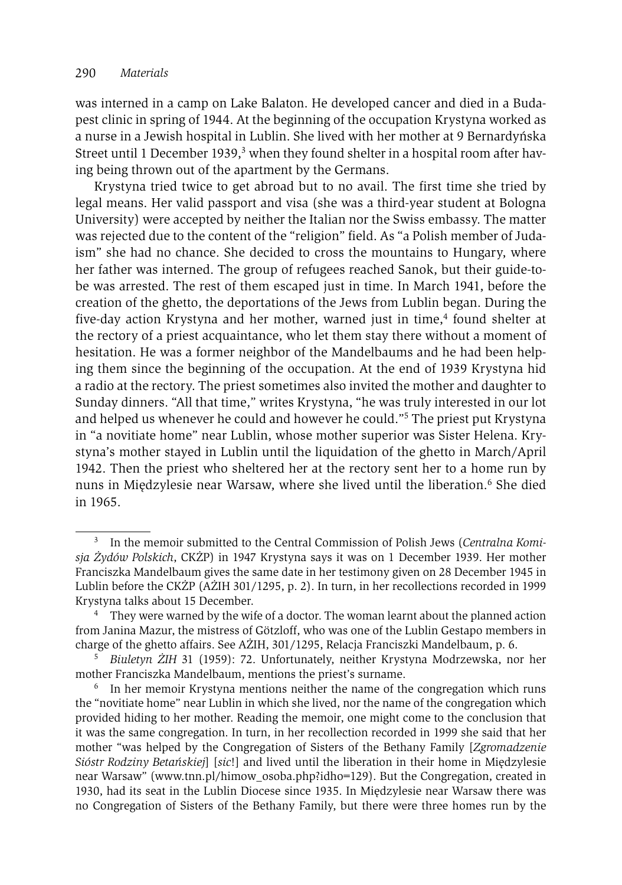was interned in a camp on Lake Balaton. He developed cancer and died in a Budapest clinic in spring of 1944. At the beginning of the occupation Krystyna worked as a nurse in a Jewish hospital in Lublin. She lived with her mother at 9 Bernardyńska Street until 1 December 1939, $3$  when they found shelter in a hospital room after having being thrown out of the apartment by the Germans.

Krystyna tried twice to get abroad but to no avail. The first time she tried by legal means. Her valid passport and visa (she was a third-year student at Bologna University) were accepted by neither the Italian nor the Swiss embassy. The matter was rejected due to the content of the "religion" field. As "a Polish member of Judaism" she had no chance. She decided to cross the mountains to Hungary, where her father was interned. The group of refugees reached Sanok, but their guide-tobe was arrested. The rest of them escaped just in time. In March 1941, before the creation of the ghetto, the deportations of the Jews from Lublin began. During the five-day action Krystyna and her mother, warned just in time,4 found shelter at the rectory of a priest acquaintance, who let them stay there without a moment of hesitation. He was a former neighbor of the Mandelbaums and he had been helping them since the beginning of the occupation. At the end of 1939 Krystyna hid a radio at the rectory. The priest sometimes also invited the mother and daughter to Sunday dinners. "All that time," writes Krystyna, "he was truly interested in our lot and helped us whenever he could and however he could."5 The priest put Krystyna in "a novitiate home" near Lublin, whose mother superior was Sister Helena. Krystyna's mother stayed in Lublin until the liquidation of the ghetto in March/April 1942. Then the priest who sheltered her at the rectory sent her to a home run by nuns in Międzylesie near Warsaw, where she lived until the liberation.<sup>6</sup> She died in 1965.

<sup>3</sup> In the memoir submitted to the Central Commission of Polish Jews (*Centralna Komisja Żydów Polskich*, CKŻP) in 1947 Krystyna says it was on 1 December 1939. Her mother Franciszka Mandelbaum gives the same date in her testimony given on 28 December 1945 in Lublin before the CKŻP (AŻIH 301/1295, p. 2). In turn, in her recollections recorded in 1999 Krystyna talks about 15 December.<br><sup>4</sup> They were warned by the wife of a doctor. The woman learnt about the planned action

from Janina Mazur, the mistress of Götzloff, who was one of the Lublin Gestapo members in charge of the ghetto affairs. See AŻIH, 301/1295, Relacja Franciszki Mandelbaum, p. 6. 5 *Biuletyn ŻIH* 31 (1959): 72. Unfortunately, neither Krystyna Modrzewska, nor her

mother Franciszka Mandelbaum, mentions the priest's surname.

<sup>6</sup> In her memoir Krystyna mentions neither the name of the congregation which runs the "novitiate home" near Lublin in which she lived, nor the name of the congregation which provided hiding to her mother. Reading the memoir, one might come to the conclusion that it was the same congregation. In turn, in her recollection recorded in 1999 she said that her mother "was helped by the Congregation of Sisters of the Bethany Family [*Zgromadzenie Sióstr Rodziny Betańskiej*] [*sic*!] and lived until the liberation in their home in Międzylesie near Warsaw" (www.tnn.pl/himow\_osoba.php?idho=129). But the Congregation, created in 1930, had its seat in the Lublin Diocese since 1935. In Międzylesie near Warsaw there was no Congregation of Sisters of the Bethany Family, but there were three homes run by the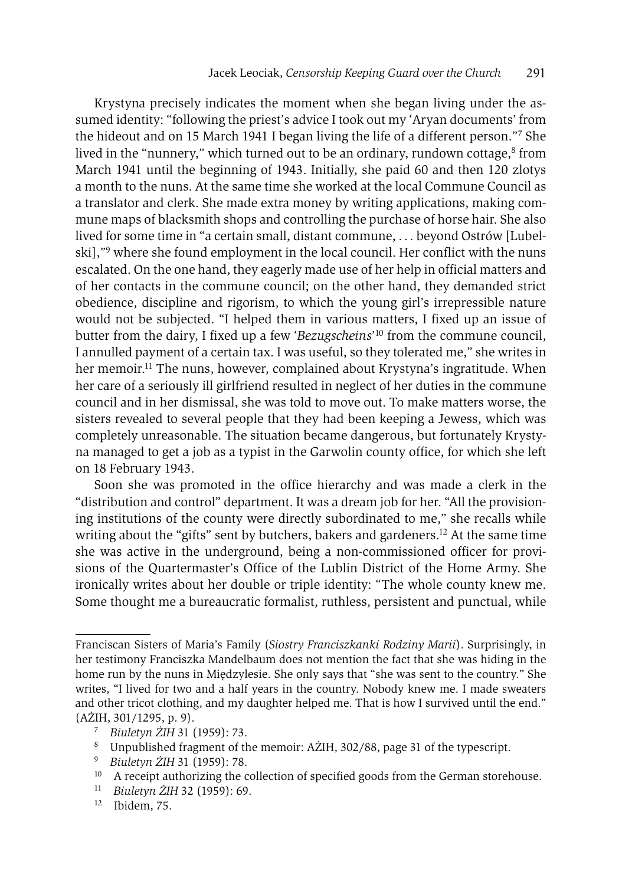Krystyna precisely indicates the moment when she began living under the assumed identity: "following the priest's advice I took out my 'Aryan documents' from the hideout and on 15 March 1941 I began living the life of a different person."7 She lived in the "nunnery," which turned out to be an ordinary, rundown cottage, $8$  from March 1941 until the beginning of 1943. Initially, she paid 60 and then 120 zlotys a month to the nuns. At the same time she worked at the local Commune Council as a translator and clerk. She made extra money by writing applications, making commune maps of blacksmith shops and controlling the purchase of horse hair. She also lived for some time in "a certain small, distant commune, . . . beyond Ostrów [Lubelski],"9 where she found employment in the local council. Her conflict with the nuns escalated. On the one hand, they eagerly made use of her help in official matters and of her contacts in the commune council; on the other hand, they demanded strict obedience, discipline and rigorism, to which the young girl's irrepressible nature would not be subjected. "I helped them in various matters, I fixed up an issue of butter from the dairy, I fixed up a few '*Bezugscheins*' 10 from the commune council, I annulled payment of a certain tax. I was useful, so they tolerated me," she writes in her memoir.<sup>11</sup> The nuns, however, complained about Krystyna's ingratitude. When her care of a seriously ill girlfriend resulted in neglect of her duties in the commune council and in her dismissal, she was told to move out. To make matters worse, the sisters revealed to several people that they had been keeping a Jewess, which was completely unreasonable. The situation became dangerous, but fortunately Krystyna managed to get a job as a typist in the Garwolin county office, for which she left on 18 February 1943.

Soon she was promoted in the office hierarchy and was made a clerk in the "distribution and control" department. It was a dream job for her. "All the provisioning institutions of the county were directly subordinated to me," she recalls while writing about the "gifts" sent by butchers, bakers and gardeners.<sup>12</sup> At the same time she was active in the underground, being a non-commissioned officer for provisions of the Quartermaster's Office of the Lublin District of the Home Army. She ironically writes about her double or triple identity: "The whole county knew me. Some thought me a bureaucratic formalist, ruthless, persistent and punctual, while

Franciscan Sisters of Maria's Family (*Siostry Franciszkanki Rodziny Marii*). Surprisingly, in her testimony Franciszka Mandelbaum does not mention the fact that she was hiding in the home run by the nuns in Międzylesie. She only says that "she was sent to the country." She writes, "I lived for two and a half years in the country. Nobody knew me. I made sweaters and other tricot clothing, and my daughter helped me. That is how I survived until the end." (AŻIH, 301/1295, p. 9). 7 *Biuletyn ŻIH* 31 (1959): 73.

<sup>8</sup> Unpublished fragment of the memoir: AŻIH, 302/88, page 31 of the typescript.

<sup>9</sup> *Biuletyn ŻIH* 31 (1959): 78.

<sup>&</sup>lt;sup>10</sup> A receipt authorizing the collection of specified goods from the German storehouse.

<sup>11</sup> *Biuletyn ŻIH* 32 (1959): 69.

<sup>12</sup> Ibidem, 75.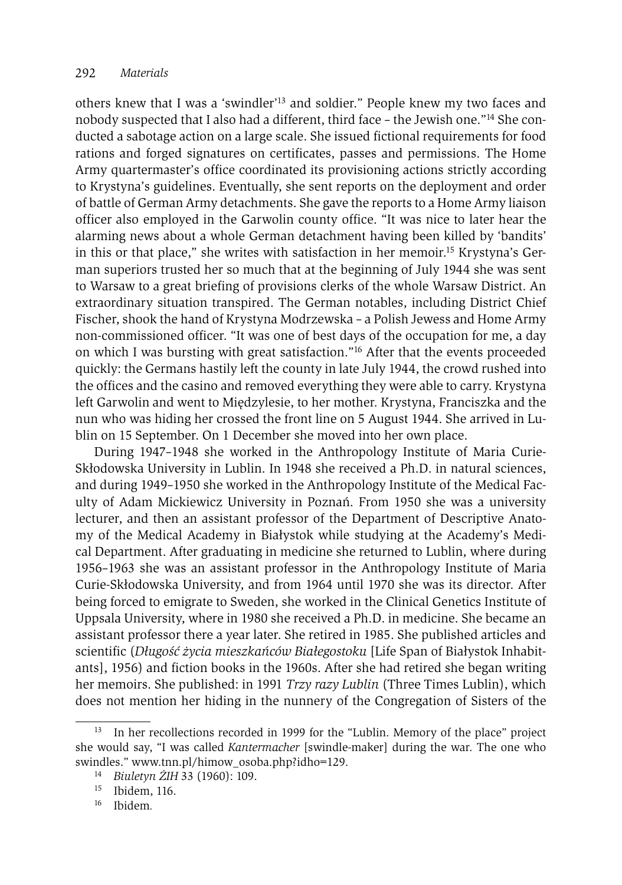others knew that I was a 'swindler'13 and soldier." People knew my two faces and nobody suspected that I also had a different, third face – the Jewish one."14 She conducted a sabotage action on a large scale. She issued fictional requirements for food rations and forged signatures on certificates, passes and permissions. The Home Army quartermaster's office coordinated its provisioning actions strictly according to Krystyna's guidelines. Eventually, she sent reports on the deployment and order of battle of German Army detachments. She gave the reports to a Home Army liaison officer also employed in the Garwolin county office. "It was nice to later hear the alarming news about a whole German detachment having been killed by 'bandits' in this or that place," she writes with satisfaction in her memoir.15 Krystyna's German superiors trusted her so much that at the beginning of July 1944 she was sent to Warsaw to a great briefing of provisions clerks of the whole Warsaw District. An extraordinary situation transpired. The German notables, including District Chief Fischer, shook the hand of Krystyna Modrzewska – a Polish Jewess and Home Army non-commissioned officer. "It was one of best days of the occupation for me, a day on which I was bursting with great satisfaction."16 After that the events proceeded quickly: the Germans hastily left the county in late July 1944, the crowd rushed into the offices and the casino and removed everything they were able to carry. Krystyna left Garwolin and went to Międzylesie, to her mother. Krystyna, Franciszka and the nun who was hiding her crossed the front line on 5 August 1944. She arrived in Lublin on 15 September. On 1 December she moved into her own place.

During 1947–1948 she worked in the Anthropology Institute of Maria Curie-Skłodowska University in Lublin. In 1948 she received a Ph.D. in natural sciences, and during 1949–1950 she worked in the Anthropology Institute of the Medical Faculty of Adam Mickiewicz University in Poznań. From 1950 she was a university lecturer, and then an assistant professor of the Department of Descriptive Anatomy of the Medical Academy in Białystok while studying at the Academy's Medical Department. After graduating in medicine she returned to Lublin, where during 1956–1963 she was an assistant professor in the Anthropology Institute of Maria Curie-Skłodowska University, and from 1964 until 1970 she was its director. After being forced to emigrate to Sweden, she worked in the Clinical Genetics Institute of Uppsala University, where in 1980 she received a Ph.D. in medicine. She became an assistant professor there a year later. She retired in 1985. She published articles and scientific (*Długość życia mieszkańców Białegostoku* [Life Span of Białystok Inhabitants], 1956) and fiction books in the 1960s. After she had retired she began writing her memoirs. She published: in 1991 *Trzy razy Lublin* (Three Times Lublin), which does not mention her hiding in the nunnery of the Congregation of Sisters of the

<sup>13</sup> In her recollections recorded in 1999 for the "Lublin. Memory of the place" project she would say, "I was called *Kantermacher* [swindle-maker] during the war. The one who swindles." www.tnn.pl/himow\_osoba.php?idho=129.

<sup>14</sup> *Biuletyn ŻIH* 33 (1960): 109.

 $15$  Ibidem, 116.

<sup>16</sup> Ibidem*.*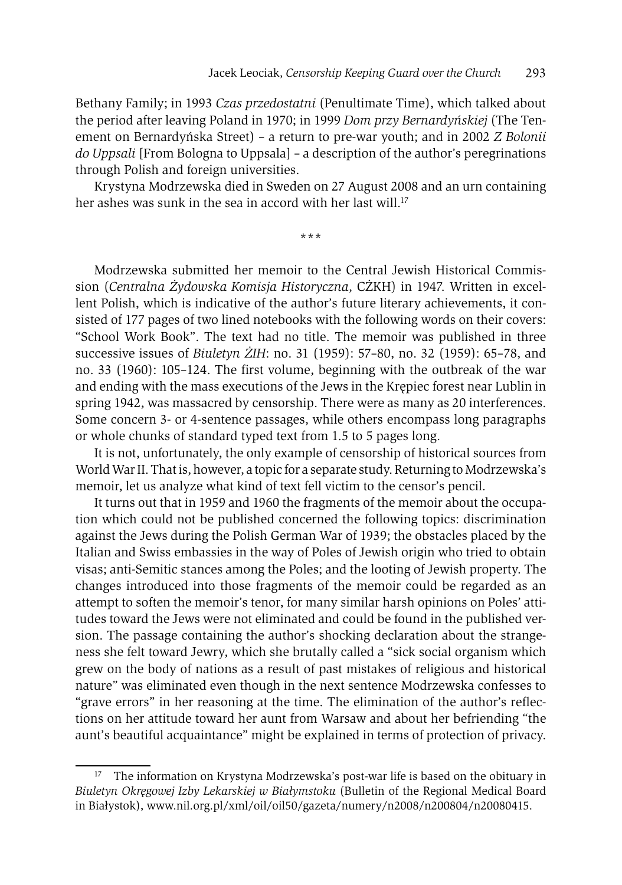Bethany Family; in 1993 *Czas przedostatni* (Penultimate Time), which talked about the period after leaving Poland in 1970; in 1999 *Dom przy Bernardyńskiej* (The Tenement on Bernardyńska Street) – a return to pre-war youth; and in 2002 *Z Bolonii do Uppsali* [From Bologna to Uppsala] – a description of the author's peregrinations through Polish and foreign universities.

Krystyna Modrzewska died in Sweden on 27 August 2008 and an urn containing her ashes was sunk in the sea in accord with her last will.<sup>17</sup>

**\*\*\***

Modrzewska submitted her memoir to the Central Jewish Historical Commission (*Centralna Żydowska Komisja Historyczna*, CŻKH) in 1947. Written in excellent Polish, which is indicative of the author's future literary achievements, it consisted of 177 pages of two lined notebooks with the following words on their covers: "School Work Book". The text had no title. The memoir was published in three successive issues of *Biuletyn ŻIH*: no. 31 (1959): 57–80, no. 32 (1959): 65–78, and no. 33 (1960): 105–124. The first volume, beginning with the outbreak of the war and ending with the mass executions of the Jews in the Krępiec forest near Lublin in spring 1942, was massacred by censorship. There were as many as 20 interferences. Some concern 3- or 4-sentence passages, while others encompass long paragraphs or whole chunks of standard typed text from 1.5 to 5 pages long.

It is not, unfortunately, the only example of censorship of historical sources from World War II. That is, however, a topic for a separate study. Returning to Modrzewska's memoir, let us analyze what kind of text fell victim to the censor's pencil.

It turns out that in 1959 and 1960 the fragments of the memoir about the occupation which could not be published concerned the following topics: discrimination against the Jews during the Polish German War of 1939; the obstacles placed by the Italian and Swiss embassies in the way of Poles of Jewish origin who tried to obtain visas; anti-Semitic stances among the Poles; and the looting of Jewish property. The changes introduced into those fragments of the memoir could be regarded as an attempt to soften the memoir's tenor, for many similar harsh opinions on Poles' attitudes toward the Jews were not eliminated and could be found in the published version. The passage containing the author's shocking declaration about the strangeness she felt toward Jewry, which she brutally called a "sick social organism which grew on the body of nations as a result of past mistakes of religious and historical nature" was eliminated even though in the next sentence Modrzewska confesses to "grave errors" in her reasoning at the time. The elimination of the author's reflections on her attitude toward her aunt from Warsaw and about her befriending "the aunt's beautiful acquaintance" might be explained in terms of protection of privacy.

<sup>&</sup>lt;sup>17</sup> The information on Krystyna Modrzewska's post-war life is based on the obituary in *Biuletyn Okręgowej Izby Lekarskiej w Białymstoku* (Bulletin of the Regional Medical Board in Białystok), www.nil.org.pl/xml/oil/oil50/gazeta/numery/n2008/n200804/n20080415.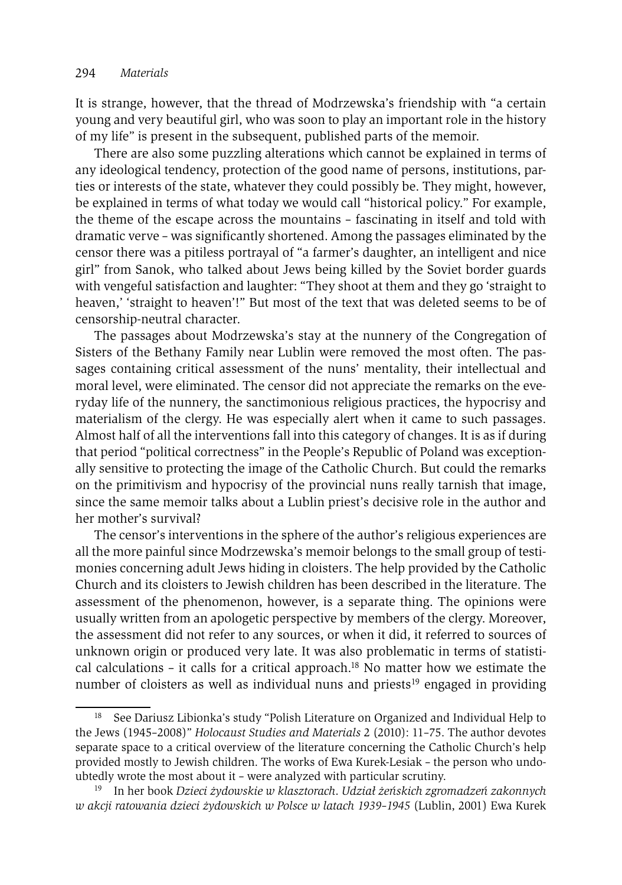It is strange, however, that the thread of Modrzewska's friendship with "a certain young and very beautiful girl, who was soon to play an important role in the history of my life" is present in the subsequent, published parts of the memoir.

There are also some puzzling alterations which cannot be explained in terms of any ideological tendency, protection of the good name of persons, institutions, parties or interests of the state, whatever they could possibly be. They might, however, be explained in terms of what today we would call "historical policy." For example, the theme of the escape across the mountains – fascinating in itself and told with dramatic verve – was significantly shortened. Among the passages eliminated by the censor there was a pitiless portrayal of "a farmer's daughter, an intelligent and nice girl" from Sanok, who talked about Jews being killed by the Soviet border guards with vengeful satisfaction and laughter: "They shoot at them and they go 'straight to heaven,' 'straight to heaven'!" But most of the text that was deleted seems to be of censorship-neutral character.

The passages about Modrzewska's stay at the nunnery of the Congregation of Sisters of the Bethany Family near Lublin were removed the most often. The passages containing critical assessment of the nuns' mentality, their intellectual and moral level, were eliminated. The censor did not appreciate the remarks on the everyday life of the nunnery, the sanctimonious religious practices, the hypocrisy and materialism of the clergy. He was especially alert when it came to such passages. Almost half of all the interventions fall into this category of changes. It is as if during that period "political correctness" in the People's Republic of Poland was exceptionally sensitive to protecting the image of the Catholic Church. But could the remarks on the primitivism and hypocrisy of the provincial nuns really tarnish that image, since the same memoir talks about a Lublin priest's decisive role in the author and her mother's survival?

The censor's interventions in the sphere of the author's religious experiences are all the more painful since Modrzewska's memoir belongs to the small group of testimonies concerning adult Jews hiding in cloisters. The help provided by the Catholic Church and its cloisters to Jewish children has been described in the literature. The assessment of the phenomenon, however, is a separate thing. The opinions were usually written from an apologetic perspective by members of the clergy. Moreover, the assessment did not refer to any sources, or when it did, it referred to sources of unknown origin or produced very late. It was also problematic in terms of statistical calculations – it calls for a critical approach.<sup>18</sup> No matter how we estimate the number of cloisters as well as individual nuns and priests<sup>19</sup> engaged in providing

<sup>&</sup>lt;sup>18</sup> See Dariusz Libionka's study "Polish Literature on Organized and Individual Help to the Jews (1945–2008)" *Holocaust Studies and Materials* 2 (2010): 11–75. The author devotes separate space to a critical overview of the literature concerning the Catholic Church's help provided mostly to Jewish children. The works of Ewa Kurek-Lesiak – the person who undoubtedly wrote the most about it – were analyzed with particular scrutiny. 19 In her book *Dzieci żydowskie w klasztorach*. *Udział żeńskich zgromadzeń zakonnych* 

*w akcji ratowania dzieci żydowskich w Polsce w latach 1939–1945* (Lublin, 2001) Ewa Kurek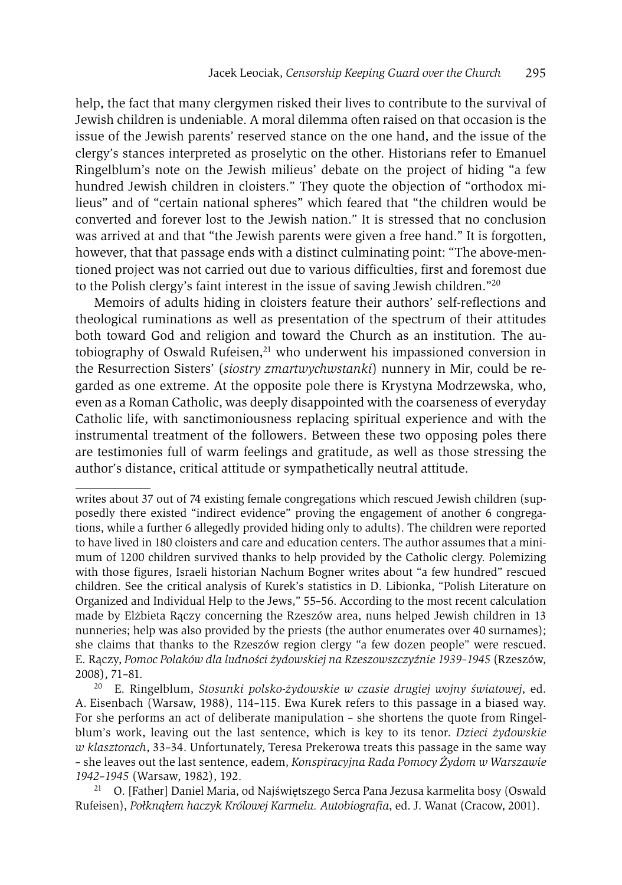help, the fact that many clergymen risked their lives to contribute to the survival of Jewish children is undeniable. A moral dilemma often raised on that occasion is the issue of the Jewish parents' reserved stance on the one hand, and the issue of the clergy's stances interpreted as proselytic on the other. Historians refer to Emanuel Ringelblum's note on the Jewish milieus' debate on the project of hiding "a few hundred Jewish children in cloisters." They quote the objection of "orthodox milieus" and of "certain national spheres" which feared that "the children would be converted and forever lost to the Jewish nation." It is stressed that no conclusion was arrived at and that "the Jewish parents were given a free hand." It is forgotten, however, that that passage ends with a distinct culminating point: "The above-mentioned project was not carried out due to various difficulties, first and foremost due to the Polish clergy's faint interest in the issue of saving Jewish children."20

Memoirs of adults hiding in cloisters feature their authors' self-reflections and theological ruminations as well as presentation of the spectrum of their attitudes both toward God and religion and toward the Church as an institution. The autobiography of Oswald Rufeisen, $21$  who underwent his impassioned conversion in the Resurrection Sisters' (*siostry zmartwychwstanki*) nunnery in Mir, could be regarded as one extreme. At the opposite pole there is Krystyna Modrzewska, who, even as a Roman Catholic, was deeply disappointed with the coarseness of everyday Catholic life, with sanctimoniousness replacing spiritual experience and with the instrumental treatment of the followers. Between these two opposing poles there are testimonies full of warm feelings and gratitude, as well as those stressing the author's distance, critical attitude or sympathetically neutral attitude.

writes about 37 out of 74 existing female congregations which rescued Jewish children (supposedly there existed "indirect evidence" proving the engagement of another 6 congregations, while a further 6 allegedly provided hiding only to adults). The children were reported to have lived in 180 cloisters and care and education centers. The author assumes that a minimum of 1200 children survived thanks to help provided by the Catholic clergy. Polemizing with those figures, Israeli historian Nachum Bogner writes about "a few hundred" rescued children. See the critical analysis of Kurek's statistics in D. Libionka, "Polish Literature on Organized and Individual Help to the Jews," 55–56. According to the most recent calculation made by Elżbieta Rączy concerning the Rzeszów area, nuns helped Jewish children in 13 nunneries; help was also provided by the priests (the author enumerates over 40 surnames); she claims that thanks to the Rzeszów region clergy "a few dozen people" were rescued. E. Rączy, *Pomoc Polaków dla ludności żydowskiej na Rzeszowszczyźnie 1939–1945* (Rzeszów, 2008), 71–81.

<sup>20</sup> E. Ringelblum, *Stosunki polsko-żydowskie w czasie drugiej wojny światowej*, ed. A. Eisenbach (Warsaw, 1988), 114–115. Ewa Kurek refers to this passage in a biased way. For she performs an act of deliberate manipulation – she shortens the quote from Ringelblum's work, leaving out the last sentence, which is key to its tenor. *Dzieci żydowskie w klasztorach*, 33–34. Unfortunately, Teresa Prekerowa treats this passage in the same way – she leaves out the last sentence, eadem, *Konspiracyjna Rada Pomocy Żydom w Warszawie <sup>1942</sup>*–*<sup>1945</sup>* (Warsaw, 1982), 192. 21 O. [Father] Daniel Maria, od Najświętszego Serca Pana Jezusa karmelita bosy (Oswald

Rufeisen), *Połknąłem haczyk Królowej Karmelu. Autobiografia*, ed. J. Wanat (Cracow, 2001).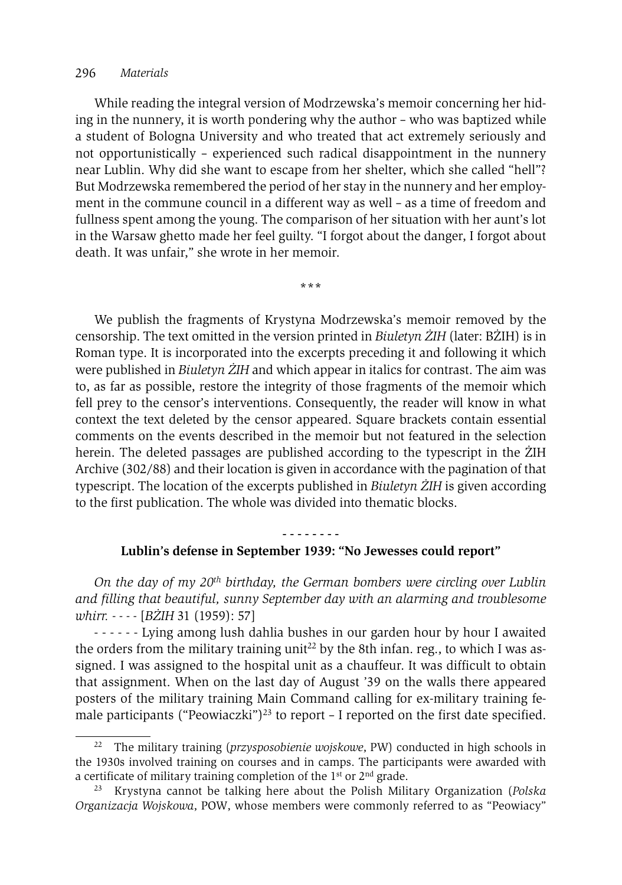#### 296 *Materials*

While reading the integral version of Modrzewska's memoir concerning her hiding in the nunnery, it is worth pondering why the author – who was baptized while a student of Bologna University and who treated that act extremely seriously and not opportunistically – experienced such radical disappointment in the nunnery near Lublin. Why did she want to escape from her shelter, which she called "hell"? But Modrzewska remembered the period of her stay in the nunnery and her employment in the commune council in a different way as well – as a time of freedom and fullness spent among the young. The comparison of her situation with her aunt's lot in the Warsaw ghetto made her feel guilty. "I forgot about the danger, I forgot about death. It was unfair," she wrote in her memoir.

**\*\*\***

We publish the fragments of Krystyna Modrzewska's memoir removed by the censorship. The text omitted in the version printed in *Biuletyn ŻIH* (later: BŻIH) is in Roman type. It is incorporated into the excerpts preceding it and following it which were published in *Biuletyn ŻIH* and which appear in italics for contrast. The aim was to, as far as possible, restore the integrity of those fragments of the memoir which fell prey to the censor's interventions. Consequently, the reader will know in what context the text deleted by the censor appeared. Square brackets contain essential comments on the events described in the memoir but not featured in the selection herein. The deleted passages are published according to the typescript in the ŻIH Archive (302/88) and their location is given in accordance with the pagination of that typescript. The location of the excerpts published in *Biuletyn ŻIH* is given according to the first publication. The whole was divided into thematic blocks.

# **- - - - - - - - Lublin's defense in September 1939: "No Jewesses could report"**

*On the day of my 20th birthday, the German bombers were circling over Lublin and filling that beautiful, sunny September day with an alarming and troublesome whirr. - - - -* [*BŻIH* 31 (1959): 57]

- - - - - - Lying among lush dahlia bushes in our garden hour by hour I awaited the orders from the military training unit<sup>22</sup> by the 8th infan. reg., to which I was assigned. I was assigned to the hospital unit as a chauffeur. It was difficult to obtain that assignment. When on the last day of August '39 on the walls there appeared posters of the military training Main Command calling for ex-military training female participants ("Peowiaczki")<sup>23</sup> to report  $-$  I reported on the first date specified.

<sup>22</sup> The military training (*przysposobienie wojskowe*, PW) conducted in high schools in the 1930s involved training on courses and in camps. The participants were awarded with a certificate of military training completion of the  $1<sup>st</sup>$  or  $2<sup>nd</sup>$  grade.

<sup>23</sup> Krystyna cannot be talking here about the Polish Military Organization (*Polska Organizacja Wojskowa*, POW, whose members were commonly referred to as "Peowiacy"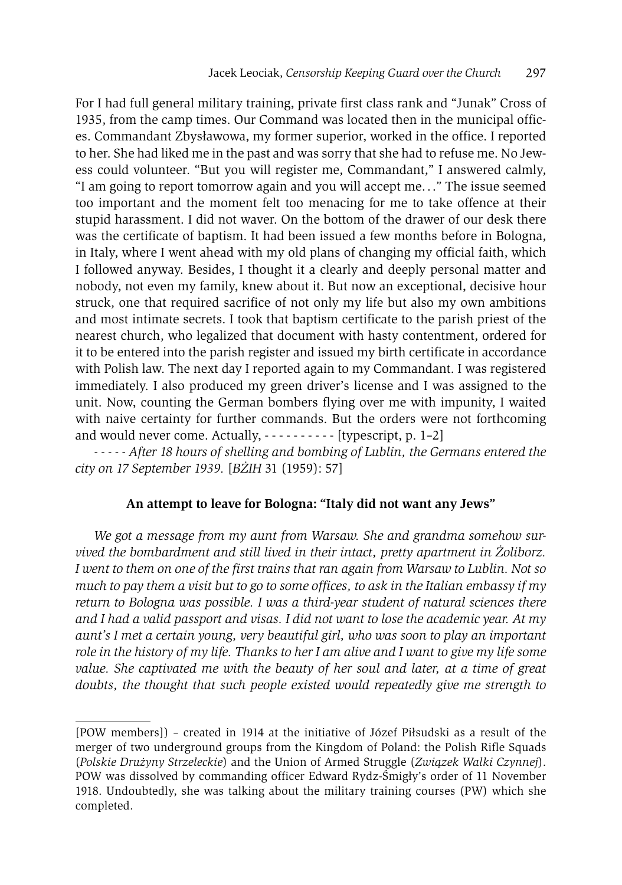For I had full general military training, private first class rank and "Junak" Cross of 1935, from the camp times. Our Command was located then in the municipal offices. Commandant Zbysławowa, my former superior, worked in the office. I reported to her. She had liked me in the past and was sorry that she had to refuse me. No Jewess could volunteer. "But you will register me, Commandant," I answered calmly, "I am going to report tomorrow again and you will accept me. . ." The issue seemed too important and the moment felt too menacing for me to take offence at their stupid harassment. I did not waver. On the bottom of the drawer of our desk there was the certificate of baptism. It had been issued a few months before in Bologna, in Italy, where I went ahead with my old plans of changing my official faith, which I followed anyway. Besides, I thought it a clearly and deeply personal matter and nobody, not even my family, knew about it. But now an exceptional, decisive hour struck, one that required sacrifice of not only my life but also my own ambitions and most intimate secrets. I took that baptism certificate to the parish priest of the nearest church, who legalized that document with hasty contentment, ordered for it to be entered into the parish register and issued my birth certificate in accordance with Polish law. The next day I reported again to my Commandant. I was registered immediately. I also produced my green driver's license and I was assigned to the unit. Now, counting the German bombers flying over me with impunity, I waited with naive certainty for further commands. But the orders were not forthcoming and would never come. Actually,  $\cdots$  -  $\cdots$  -  $\cdots$  [typescript, p. 1–2]

*- - - - - After 18 hours of shelling and bombing of Lublin, the Germans entered the city on 17 September 1939.* [*BŻIH* 31 (1959): 57]

## **An attempt to leave for Bologna: "Italy did not want any Jews"**

*We got a message from my aunt from Warsaw. She and grandma somehow survived the bombardment and still lived in their intact, pretty apartment in Żoliborz. I went to them on one of the first trains that ran again from Warsaw to Lublin. Not so much to pay them a visit but to go to some offices, to ask in the Italian embassy if my return to Bologna was possible. I was a third-year student of natural sciences there and I had a valid passport and visas. I did not want to lose the academic year. At my aunt's I met a certain young, very beautiful girl, who was soon to play an important role in the history of my life. Thanks to her I am alive and I want to give my life some value. She captivated me with the beauty of her soul and later, at a time of great doubts, the thought that such people existed would repeatedly give me strength to* 

<sup>[</sup>POW members]) – created in 1914 at the initiative of Józef Piłsudski as a result of the merger of two underground groups from the Kingdom of Poland: the Polish Rifle Squads (*Polskie Drużyny Strzeleckie*) and the Union of Armed Struggle (*Związek Walki Czynnej*). POW was dissolved by commanding officer Edward Rydz-Śmigły's order of 11 November 1918. Undoubtedly, she was talking about the military training courses (PW) which she completed.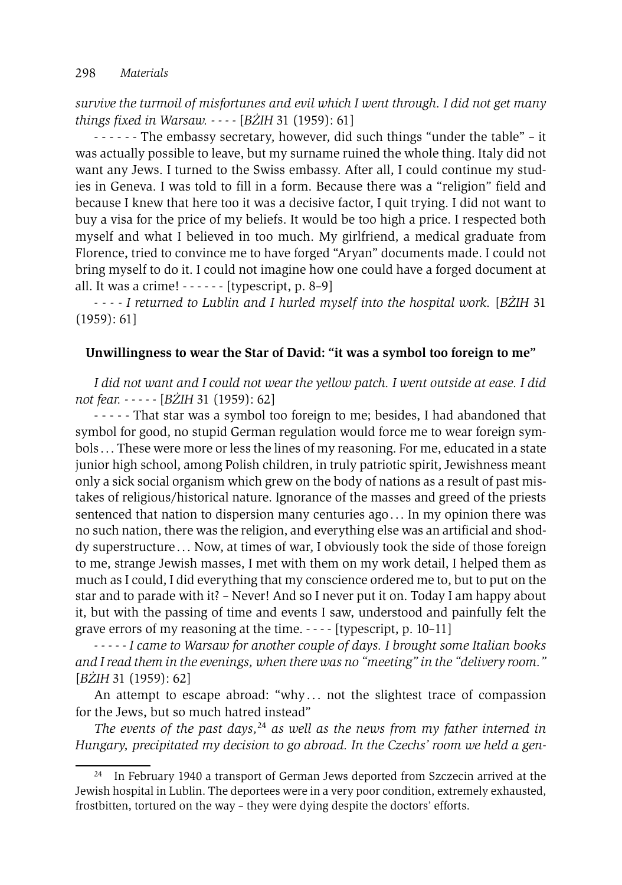*survive the turmoil of misfortunes and evil which I went through. I did not get many things fixed in Warsaw. - - - -* [*BŻIH* 31 (1959): 61]

- - - - - - The embassy secretary, however, did such things "under the table" – it was actually possible to leave, but my surname ruined the whole thing. Italy did not want any Jews. I turned to the Swiss embassy. After all, I could continue my studies in Geneva. I was told to fill in a form. Because there was a "religion" field and because I knew that here too it was a decisive factor, I quit trying. I did not want to buy a visa for the price of my beliefs. It would be too high a price. I respected both myself and what I believed in too much. My girlfriend, a medical graduate from Florence, tried to convince me to have forged "Aryan" documents made. I could not bring myself to do it. I could not imagine how one could have a forged document at all. It was a crime! - - - - - - [typescript, p. 8–9]

*- - - - I returned to Lublin and I hurled myself into the hospital work.* [*BŻIH* 31 (1959): 61]

## **Unwillingness to wear the Star of David: "it was a symbol too foreign to me"**

*I did not want and I could not wear the yellow patch. I went outside at ease. I did not fear. - - - - -* [*BŻIH* 31 (1959): 62]

- - - - - That star was a symbol too foreign to me; besides, I had abandoned that symbol for good, no stupid German regulation would force me to wear foreign symbols . . . These were more or less the lines of my reasoning. For me, educated in a state junior high school, among Polish children, in truly patriotic spirit, Jewishness meant only a sick social organism which grew on the body of nations as a result of past mistakes of religious/historical nature. Ignorance of the masses and greed of the priests sentenced that nation to dispersion many centuries ago . . . In my opinion there was no such nation, there was the religion, and everything else was an artificial and shoddy superstructure . . . Now, at times of war, I obviously took the side of those foreign to me, strange Jewish masses, I met with them on my work detail, I helped them as much as I could, I did everything that my conscience ordered me to, but to put on the star and to parade with it? – Never! And so I never put it on. Today I am happy about it, but with the passing of time and events I saw, understood and painfully felt the grave errors of my reasoning at the time. - - - - [typescript, p. 10–11]

*- - - - - I came to Warsaw for another couple of days. I brought some Italian books and I read them in the evenings, when there was no "meeting" in the "delivery room."* [*BŻIH* 31 (1959): 62]

An attempt to escape abroad: "why... not the slightest trace of compassion for the Jews, but so much hatred instead"

*The events of the past days,*<sup>24</sup> *as well as the news from my father interned in Hungary, precipitated my decision to go abroad. In the Czechs' room we held a gen-*

<sup>&</sup>lt;sup>24</sup> In February 1940 a transport of German Jews deported from Szczecin arrived at the Jewish hospital in Lublin. The deportees were in a very poor condition, extremely exhausted, frostbitten, tortured on the way – they were dying despite the doctors' efforts.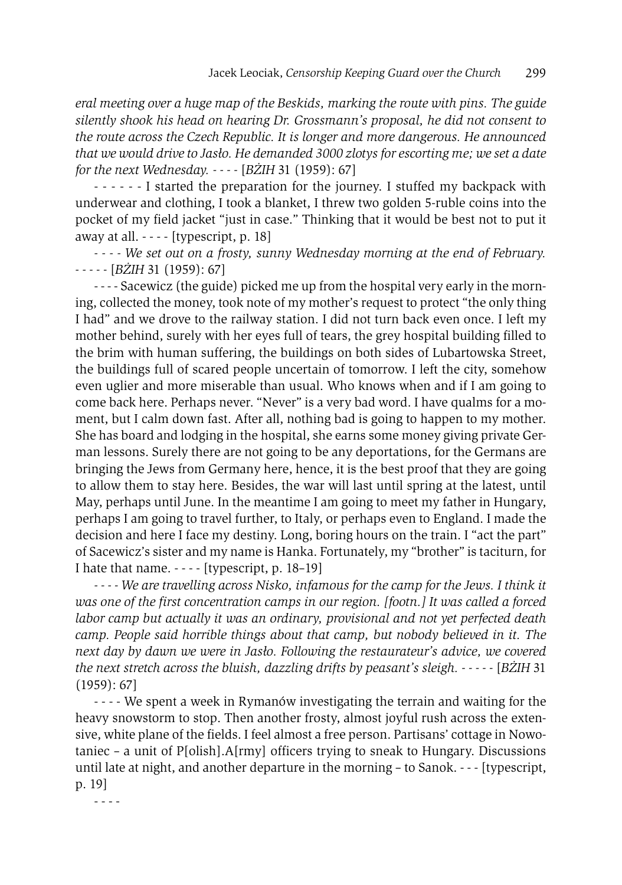*eral meeting over a huge map of the Beskids, marking the route with pins. The guide silently shook his head on hearing Dr. Grossmann's proposal, he did not consent to the route across the Czech Republic. It is longer and more dangerous. He announced that we would drive to Jasło. He demanded 3000 zlotys for escorting me; we set a date for the next Wednesday. - - - -* [*BŻIH* 31 (1959): 67]

- - - - - - I started the preparation for the journey. I stuffed my backpack with underwear and clothing, I took a blanket, I threw two golden 5-ruble coins into the pocket of my field jacket "just in case." Thinking that it would be best not to put it away at all.  $--$  [typescript, p. 18]

*- - - - We set out on a frosty, sunny Wednesday morning at the end of February. - - - - -* [*BŻIH* 31 (1959): 67]

- - - - Sacewicz (the guide) picked me up from the hospital very early in the morning, collected the money, took note of my mother's request to protect "the only thing I had" and we drove to the railway station. I did not turn back even once. I left my mother behind, surely with her eyes full of tears, the grey hospital building filled to the brim with human suffering, the buildings on both sides of Lubartowska Street, the buildings full of scared people uncertain of tomorrow. I left the city, somehow even uglier and more miserable than usual. Who knows when and if I am going to come back here. Perhaps never. "Never" is a very bad word. I have qualms for a moment, but I calm down fast. After all, nothing bad is going to happen to my mother. She has board and lodging in the hospital, she earns some money giving private German lessons. Surely there are not going to be any deportations, for the Germans are bringing the Jews from Germany here, hence, it is the best proof that they are going to allow them to stay here. Besides, the war will last until spring at the latest, until May, perhaps until June. In the meantime I am going to meet my father in Hungary, perhaps I am going to travel further, to Italy, or perhaps even to England. I made the decision and here I face my destiny. Long, boring hours on the train. I "act the part" of Sacewicz's sister and my name is Hanka. Fortunately, my "brother" is taciturn, for I hate that name.  $--$  [typescript, p. 18–19]

*- - - - We are travelling across Nisko, infamous for the camp for the Jews. I think it was one of the first concentration camps in our region. [footn.] It was called a forced labor camp but actually it was an ordinary, provisional and not yet perfected death camp. People said horrible things about that camp, but nobody believed in it. The next day by dawn we were in Jasło. Following the restaurateur's advice, we covered the next stretch across the bluish, dazzling drifts by peasant's sleigh. - - - - -* [*BŻIH* 31 (1959): 67]

- - - - We spent a week in Rymanów investigating the terrain and waiting for the heavy snowstorm to stop. Then another frosty, almost joyful rush across the extensive, white plane of the fields. I feel almost a free person. Partisans' cottage in Nowotaniec – a unit of P[olish].A[rmy] officers trying to sneak to Hungary. Discussions until late at night, and another departure in the morning – to Sanok. - - - [typescript, p. 19]

- - - -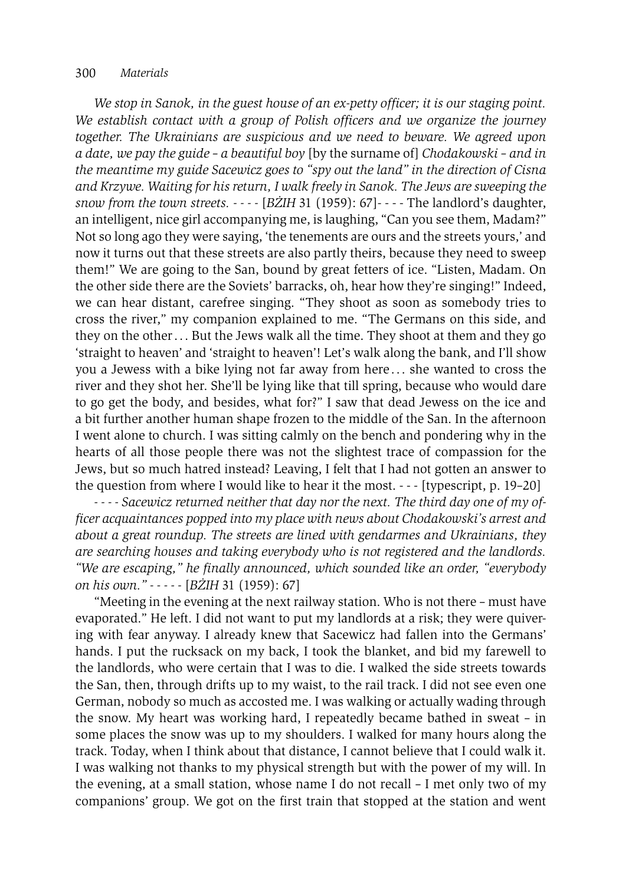#### 300 *Materials*

*We stop in Sanok, in the guest house of an ex-petty officer; it is our staging point. We establish contact with a group of Polish officers and we organize the journey together. The Ukrainians are suspicious and we need to beware. We agreed upon a date, we pay the guide – a beautiful boy* [by the surname of] *Chodakowski – and in the meantime my guide Sacewicz goes to "spy out the land" in the direction of Cisna and Krzywe. Waiting for his return, I walk freely in Sanok. The Jews are sweeping the snow from the town streets. - - - -* [*BŻIH* 31 (1959): 67]- - - - The landlord's daughter, an intelligent, nice girl accompanying me, is laughing, "Can you see them, Madam?" Not so long ago they were saying, 'the tenements are ours and the streets yours,' and now it turns out that these streets are also partly theirs, because they need to sweep them!" We are going to the San, bound by great fetters of ice. "Listen, Madam. On the other side there are the Soviets' barracks, oh, hear how they're singing!" Indeed, we can hear distant, carefree singing. "They shoot as soon as somebody tries to cross the river," my companion explained to me. "The Germans on this side, and they on the other . . . But the Jews walk all the time. They shoot at them and they go 'straight to heaven' and 'straight to heaven'! Let's walk along the bank, and I'll show you a Jewess with a bike lying not far away from here . . . she wanted to cross the river and they shot her. She'll be lying like that till spring, because who would dare to go get the body, and besides, what for?" I saw that dead Jewess on the ice and a bit further another human shape frozen to the middle of the San. In the afternoon I went alone to church. I was sitting calmly on the bench and pondering why in the hearts of all those people there was not the slightest trace of compassion for the Jews, but so much hatred instead? Leaving, I felt that I had not gotten an answer to the question from where I would like to hear it the most. - - - [typescript, p. 19–20]

*- - - - Sacewicz returned neither that day nor the next. The third day one of my officer acquaintances popped into my place with news about Chodakowski's arrest and about a great roundup. The streets are lined with gendarmes and Ukrainians, they are searching houses and taking everybody who is not registered and the landlords. "We are escaping," he finally announced, which sounded like an order, "everybody on his own." - - - - -* [*BŻIH* 31 (1959): 67]

"Meeting in the evening at the next railway station. Who is not there – must have evaporated." He left. I did not want to put my landlords at a risk; they were quivering with fear anyway. I already knew that Sacewicz had fallen into the Germans' hands. I put the rucksack on my back, I took the blanket, and bid my farewell to the landlords, who were certain that I was to die. I walked the side streets towards the San, then, through drifts up to my waist, to the rail track. I did not see even one German, nobody so much as accosted me. I was walking or actually wading through the snow. My heart was working hard, I repeatedly became bathed in sweat – in some places the snow was up to my shoulders. I walked for many hours along the track. Today, when I think about that distance, I cannot believe that I could walk it. I was walking not thanks to my physical strength but with the power of my will. In the evening, at a small station, whose name I do not recall – I met only two of my companions' group. We got on the first train that stopped at the station and went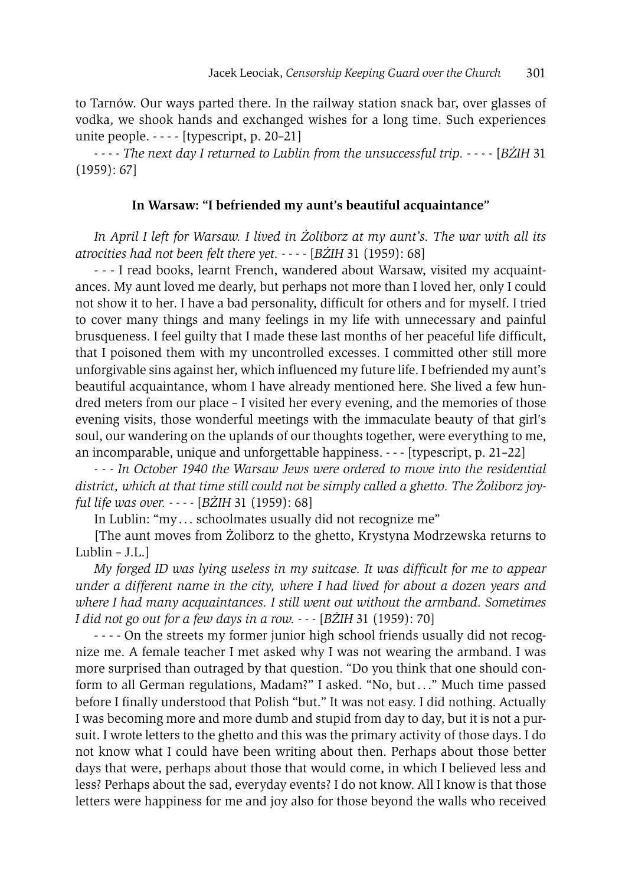to Tarnów. Our ways parted there. In the railway station snack bar, over glasses of vodka, we shook hands and exchanged wishes for a long time. Such experiences unite people. - - - - [typescript, p. 20–21]

*- - - - The next day I returned to Lublin from the unsuccessful trip. - - - -* [*BŻIH* 31 (1959): 67]

#### **In Warsaw: "I befriended my aunt's beautiful acquaintance"**

*In April I left for Warsaw. I lived in Żoliborz at my aunt's. The war with all its atrocities had not been felt there yet. - - - -* [*BŻIH* 31 (1959): 68]

- - - I read books, learnt French, wandered about Warsaw, visited my acquaintances. My aunt loved me dearly, but perhaps not more than I loved her, only I could not show it to her. I have a bad personality, difficult for others and for myself. I tried to cover many things and many feelings in my life with unnecessary and painful brusqueness. I feel guilty that I made these last months of her peaceful life difficult, that I poisoned them with my uncontrolled excesses. I committed other still more unforgivable sins against her, which influenced my future life. I befriended my aunt's beautiful acquaintance, whom I have already mentioned here. She lived a few hundred meters from our place – I visited her every evening, and the memories of those evening visits, those wonderful meetings with the immaculate beauty of that girl's soul, our wandering on the uplands of our thoughts together, were everything to me, an incomparable, unique and unforgettable happiness. - - - [typescript, p. 21–22]

*- - - In October 1940 the Warsaw Jews were ordered to move into the residential district, which at that time still could not be simply called a ghetto. The Żoliborz joyful life was over. - - - -* [*BŻIH* 31 (1959): 68]

In Lublin: "my . . . schoolmates usually did not recognize me"

[The aunt moves from Żoliborz to the ghetto, Krystyna Modrzewska returns to Lublin – J.L.]

*My forged ID was lying useless in my suitcase. It was difficult for me to appear under a different name in the city, where I had lived for about a dozen years and where I had many acquaintances. I still went out without the armband. Sometimes I did not go out for a few days in a row. - - -* [*BŻIH* 31 (1959): 70]

- - - - On the streets my former junior high school friends usually did not recognize me. A female teacher I met asked why I was not wearing the armband. I was more surprised than outraged by that question. "Do you think that one should conform to all German regulations, Madam?" I asked. "No, but . . ." Much time passed before I finally understood that Polish "but." It was not easy. I did nothing. Actually I was becoming more and more dumb and stupid from day to day, but it is not a pursuit. I wrote letters to the ghetto and this was the primary activity of those days. I do not know what I could have been writing about then. Perhaps about those better days that were, perhaps about those that would come, in which I believed less and less? Perhaps about the sad, everyday events? I do not know. All I know is that those letters were happiness for me and joy also for those beyond the walls who received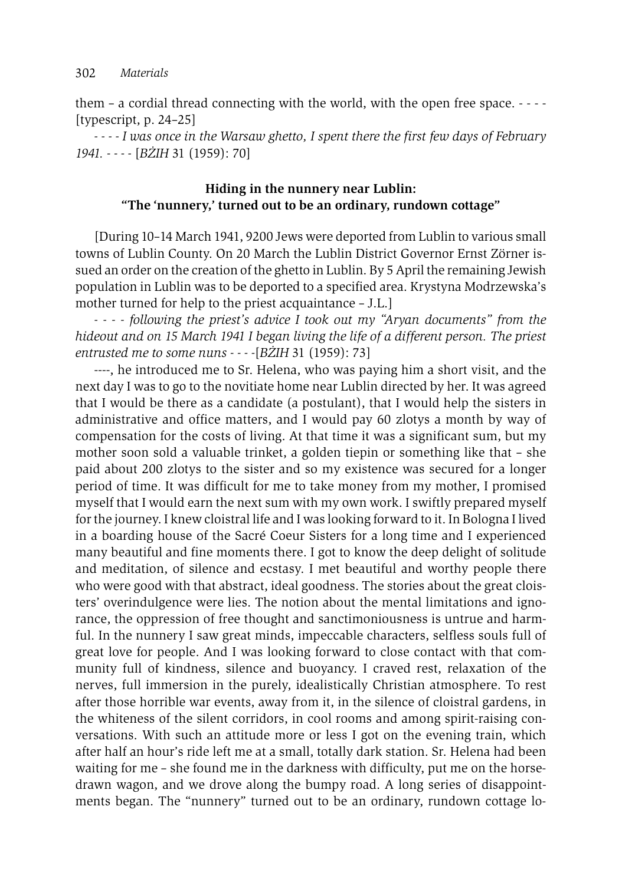them – a cordial thread connecting with the world, with the open free space. - - - - [typescript, p. 24–25]

*- - - - I was once in the Warsaw ghetto, I spent there the first few days of February 1941. - - - -* [*BŻIH* 31 (1959): 70]

# **Hiding in the nunnery near Lublin: "The 'nunnery,' turned out to be an ordinary, rundown cottage"**

[During 10–14 March 1941, 9200 Jews were deported from Lublin to various small towns of Lublin County. On 20 March the Lublin District Governor Ernst Zörner issued an order on the creation of the ghetto in Lublin. By 5 April the remaining Jewish population in Lublin was to be deported to a specified area. Krystyna Modrzewska's mother turned for help to the priest acquaintance – J.L.]

*- - - - following the priest's advice I took out my "Aryan documents" from the hideout and on 15 March 1941 I began living the life of a different person. The priest entrusted me to some nuns - - - -*[*BŻIH* 31 (1959): 73]

----, he introduced me to Sr. Helena, who was paying him a short visit, and the next day I was to go to the novitiate home near Lublin directed by her. It was agreed that I would be there as a candidate (a postulant), that I would help the sisters in administrative and office matters, and I would pay 60 zlotys a month by way of compensation for the costs of living. At that time it was a significant sum, but my mother soon sold a valuable trinket, a golden tiepin or something like that – she paid about 200 zlotys to the sister and so my existence was secured for a longer period of time. It was difficult for me to take money from my mother, I promised myself that I would earn the next sum with my own work. I swiftly prepared myself for the journey. I knew cloistral life and I was looking forward to it. In Bologna I lived in a boarding house of the Sacré Coeur Sisters for a long time and I experienced many beautiful and fine moments there. I got to know the deep delight of solitude and meditation, of silence and ecstasy. I met beautiful and worthy people there who were good with that abstract, ideal goodness. The stories about the great cloisters' overindulgence were lies. The notion about the mental limitations and ignorance, the oppression of free thought and sanctimoniousness is untrue and harmful. In the nunnery I saw great minds, impeccable characters, selfless souls full of great love for people. And I was looking forward to close contact with that community full of kindness, silence and buoyancy. I craved rest, relaxation of the nerves, full immersion in the purely, idealistically Christian atmosphere. To rest after those horrible war events, away from it, in the silence of cloistral gardens, in the whiteness of the silent corridors, in cool rooms and among spirit-raising conversations. With such an attitude more or less I got on the evening train, which after half an hour's ride left me at a small, totally dark station. Sr. Helena had been waiting for me – she found me in the darkness with difficulty, put me on the horsedrawn wagon, and we drove along the bumpy road. A long series of disappointments began. The "nunnery" turned out to be an ordinary, rundown cottage lo-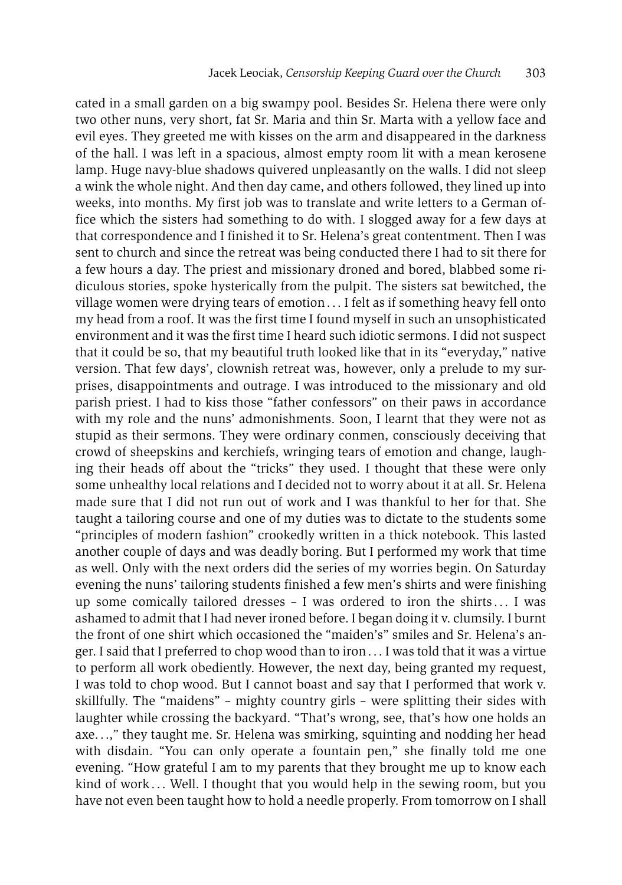cated in a small garden on a big swampy pool. Besides Sr. Helena there were only two other nuns, very short, fat Sr. Maria and thin Sr. Marta with a yellow face and evil eyes. They greeted me with kisses on the arm and disappeared in the darkness of the hall. I was left in a spacious, almost empty room lit with a mean kerosene lamp. Huge navy-blue shadows quivered unpleasantly on the walls. I did not sleep a wink the whole night. And then day came, and others followed, they lined up into weeks, into months. My first job was to translate and write letters to a German office which the sisters had something to do with. I slogged away for a few days at that correspondence and I finished it to Sr. Helena's great contentment. Then I was sent to church and since the retreat was being conducted there I had to sit there for a few hours a day. The priest and missionary droned and bored, blabbed some ridiculous stories, spoke hysterically from the pulpit. The sisters sat bewitched, the village women were drying tears of emotion . . . I felt as if something heavy fell onto my head from a roof. It was the first time I found myself in such an unsophisticated environment and it was the first time I heard such idiotic sermons. I did not suspect that it could be so, that my beautiful truth looked like that in its "everyday," native version. That few days', clownish retreat was, however, only a prelude to my surprises, disappointments and outrage. I was introduced to the missionary and old parish priest. I had to kiss those "father confessors" on their paws in accordance with my role and the nuns' admonishments. Soon, I learnt that they were not as stupid as their sermons. They were ordinary conmen, consciously deceiving that crowd of sheepskins and kerchiefs, wringing tears of emotion and change, laughing their heads off about the "tricks" they used. I thought that these were only some unhealthy local relations and I decided not to worry about it at all. Sr. Helena made sure that I did not run out of work and I was thankful to her for that. She taught a tailoring course and one of my duties was to dictate to the students some "principles of modern fashion" crookedly written in a thick notebook. This lasted another couple of days and was deadly boring. But I performed my work that time as well. Only with the next orders did the series of my worries begin. On Saturday evening the nuns' tailoring students finished a few men's shirts and were finishing up some comically tailored dresses - I was ordered to iron the shirts... I was ashamed to admit that I had never ironed before. I began doing it v. clumsily. I burnt the front of one shirt which occasioned the "maiden's" smiles and Sr. Helena's anger. I said that I preferred to chop wood than to iron . . . I was told that it was a virtue to perform all work obediently. However, the next day, being granted my request, I was told to chop wood. But I cannot boast and say that I performed that work v. skillfully. The "maidens" – mighty country girls – were splitting their sides with laughter while crossing the backyard. "That's wrong, see, that's how one holds an axe. . .," they taught me. Sr. Helena was smirking, squinting and nodding her head with disdain. "You can only operate a fountain pen," she finally told me one evening. "How grateful I am to my parents that they brought me up to know each kind of work ... Well. I thought that you would help in the sewing room, but you have not even been taught how to hold a needle properly. From tomorrow on I shall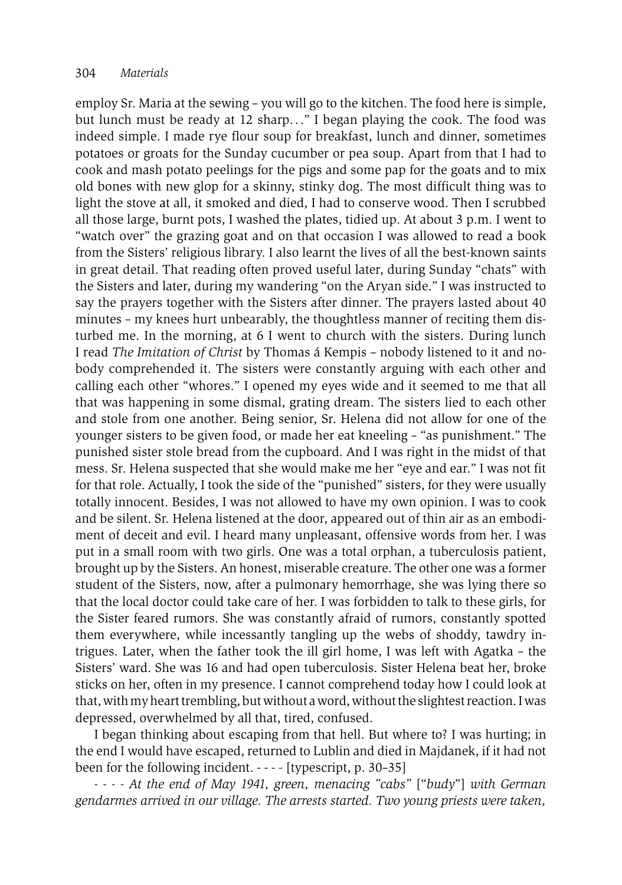employ Sr. Maria at the sewing – you will go to the kitchen. The food here is simple, but lunch must be ready at 12 sharp. . ." I began playing the cook. The food was indeed simple. I made rye flour soup for breakfast, lunch and dinner, sometimes potatoes or groats for the Sunday cucumber or pea soup. Apart from that I had to cook and mash potato peelings for the pigs and some pap for the goats and to mix old bones with new glop for a skinny, stinky dog. The most difficult thing was to light the stove at all, it smoked and died, I had to conserve wood. Then I scrubbed all those large, burnt pots, I washed the plates, tidied up. At about 3 p.m. I went to "watch over" the grazing goat and on that occasion I was allowed to read a book from the Sisters' religious library. I also learnt the lives of all the best-known saints in great detail. That reading often proved useful later, during Sunday "chats" with the Sisters and later, during my wandering "on the Aryan side." I was instructed to say the prayers together with the Sisters after dinner. The prayers lasted about 40 minutes – my knees hurt unbearably, the thoughtless manner of reciting them disturbed me. In the morning, at 6 I went to church with the sisters. During lunch I read *The Imitation of Christ* by Thomas á Kempis – nobody listened to it and nobody comprehended it. The sisters were constantly arguing with each other and calling each other "whores." I opened my eyes wide and it seemed to me that all that was happening in some dismal, grating dream. The sisters lied to each other and stole from one another. Being senior, Sr. Helena did not allow for one of the younger sisters to be given food, or made her eat kneeling – "as punishment." The punished sister stole bread from the cupboard. And I was right in the midst of that mess. Sr. Helena suspected that she would make me her "eye and ear." I was not fit for that role. Actually, I took the side of the "punished" sisters, for they were usually totally innocent. Besides, I was not allowed to have my own opinion. I was to cook and be silent. Sr. Helena listened at the door, appeared out of thin air as an embodiment of deceit and evil. I heard many unpleasant, offensive words from her. I was put in a small room with two girls. One was a total orphan, a tuberculosis patient, brought up by the Sisters. An honest, miserable creature. The other one was a former student of the Sisters, now, after a pulmonary hemorrhage, she was lying there so that the local doctor could take care of her. I was forbidden to talk to these girls, for the Sister feared rumors. She was constantly afraid of rumors, constantly spotted them everywhere, while incessantly tangling up the webs of shoddy, tawdry intrigues. Later, when the father took the ill girl home, I was left with Agatka – the Sisters' ward. She was 16 and had open tuberculosis. Sister Helena beat her, broke sticks on her, often in my presence. I cannot comprehend today how I could look at that, with my heart trembling, but without a word, without the slightest reaction. I was depressed, overwhelmed by all that, tired, confused.

I began thinking about escaping from that hell. But where to? I was hurting; in the end I would have escaped, returned to Lublin and died in Majdanek, if it had not been for the following incident. - - - - [typescript, p. 30–35]

*- - - - At the end of May 1941, green, menacing "cabs"* ["*budy*"] *with German gendarmes arrived in our village. The arrests started. Two young priests were taken,*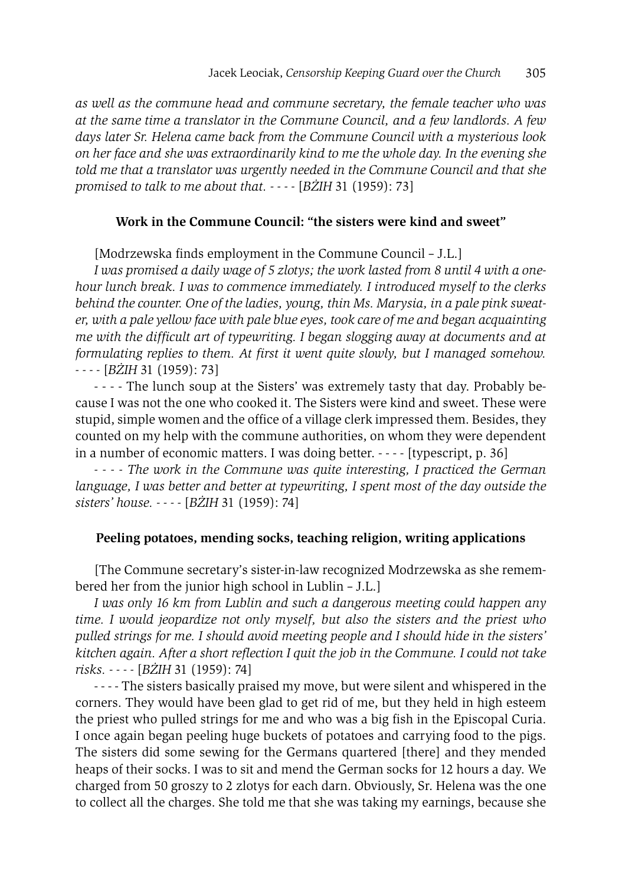*as well as the commune head and commune secretary, the female teacher who was at the same time a translator in the Commune Council, and a few landlords. A few days later Sr. Helena came back from the Commune Council with a mysterious look on her face and she was extraordinarily kind to me the whole day. In the evening she told me that a translator was urgently needed in the Commune Council and that she promised to talk to me about that. - - - -* [*BŻIH* 31 (1959): 73]

## **Work in the Commune Council: "the sisters were kind and sweet"**

[Modrzewska finds employment in the Commune Council – J.L.]

*I was promised a daily wage of 5 zlotys; the work lasted from 8 until 4 with a onehour lunch break. I was to commence immediately. I introduced myself to the clerks behind the counter. One of the ladies, young, thin Ms. Marysia, in a pale pink sweater, with a pale yellow face with pale blue eyes, took care of me and began acquainting me with the difficult art of typewriting. I began slogging away at documents and at formulating replies to them. At first it went quite slowly, but I managed somehow. - - - -* [*BŻIH* 31 (1959): 73]

- - - - The lunch soup at the Sisters' was extremely tasty that day. Probably because I was not the one who cooked it. The Sisters were kind and sweet. These were stupid, simple women and the office of a village clerk impressed them. Besides, they counted on my help with the commune authorities, on whom they were dependent in a number of economic matters. I was doing better. - - - - [typescript, p. 36]

*- - - - The work in the Commune was quite interesting, I practiced the German language, I was better and better at typewriting, I spent most of the day outside the sisters' house. - - - -* [*BŻIH* 31 (1959): 74]

#### **Peeling potatoes, mending socks, teaching religion, writing applications**

[The Commune secretary's sister-in-law recognized Modrzewska as she remembered her from the junior high school in Lublin – J.L.]

*I was only 16 km from Lublin and such a dangerous meeting could happen any time. I would jeopardize not only myself, but also the sisters and the priest who pulled strings for me. I should avoid meeting people and I should hide in the sisters' kitchen again. After a short reflection I quit the job in the Commune. I could not take risks. - - - -* [*BŻIH* 31 (1959): 74]

- - - - The sisters basically praised my move, but were silent and whispered in the corners. They would have been glad to get rid of me, but they held in high esteem the priest who pulled strings for me and who was a big fish in the Episcopal Curia. I once again began peeling huge buckets of potatoes and carrying food to the pigs. The sisters did some sewing for the Germans quartered [there] and they mended heaps of their socks. I was to sit and mend the German socks for 12 hours a day. We charged from 50 groszy to 2 zlotys for each darn. Obviously, Sr. Helena was the one to collect all the charges. She told me that she was taking my earnings, because she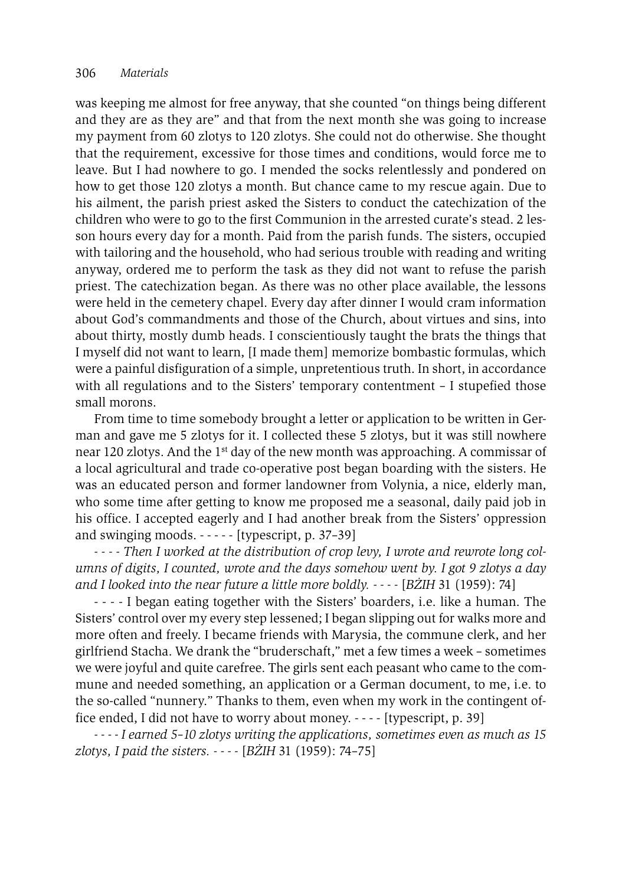was keeping me almost for free anyway, that she counted "on things being different and they are as they are" and that from the next month she was going to increase my payment from 60 zlotys to 120 zlotys. She could not do otherwise. She thought that the requirement, excessive for those times and conditions, would force me to leave. But I had nowhere to go. I mended the socks relentlessly and pondered on how to get those 120 zlotys a month. But chance came to my rescue again. Due to his ailment, the parish priest asked the Sisters to conduct the catechization of the children who were to go to the first Communion in the arrested curate's stead. 2 lesson hours every day for a month. Paid from the parish funds. The sisters, occupied with tailoring and the household, who had serious trouble with reading and writing anyway, ordered me to perform the task as they did not want to refuse the parish priest. The catechization began. As there was no other place available, the lessons were held in the cemetery chapel. Every day after dinner I would cram information about God's commandments and those of the Church, about virtues and sins, into about thirty, mostly dumb heads. I conscientiously taught the brats the things that I myself did not want to learn, [I made them] memorize bombastic formulas, which were a painful disfiguration of a simple, unpretentious truth. In short, in accordance with all regulations and to the Sisters' temporary contentment – I stupefied those small morons.

From time to time somebody brought a letter or application to be written in German and gave me 5 zlotys for it. I collected these 5 zlotys, but it was still nowhere near 120 zlotys. And the 1st day of the new month was approaching. A commissar of a local agricultural and trade co-operative post began boarding with the sisters. He was an educated person and former landowner from Volynia, a nice, elderly man, who some time after getting to know me proposed me a seasonal, daily paid job in his office. I accepted eagerly and I had another break from the Sisters' oppression and swinging moods.  $---$  [typescript, p. 37–39]

*- - - - Then I worked at the distribution of crop levy, I wrote and rewrote long columns of digits, I counted, wrote and the days somehow went by. I got 9 zlotys a day and I looked into the near future a little more boldly. - - - -* [*BŻIH* 31 (1959): 74]

- - - - I began eating together with the Sisters' boarders, i.e. like a human. The Sisters' control over my every step lessened; I began slipping out for walks more and more often and freely. I became friends with Marysia, the commune clerk, and her girlfriend Stacha. We drank the "bruderschaft," met a few times a week – sometimes we were joyful and quite carefree. The girls sent each peasant who came to the commune and needed something, an application or a German document, to me, i.e. to the so-called "nunnery." Thanks to them, even when my work in the contingent office ended, I did not have to worry about money. - - - - [typescript, p. 39]

*- - - - I earned 5–10 zlotys writing the applications, sometimes even as much as 15 zlotys, I paid the sisters. - - - -* [*BŻIH* 31 (1959): 74–75]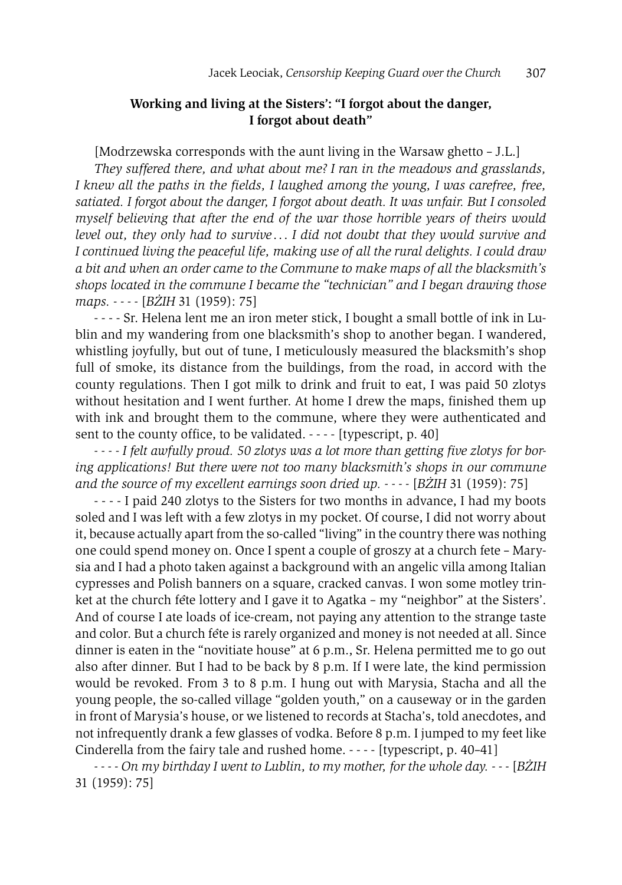## **Working and living at the Sisters': "I forgot about the danger, I forgot about death"**

[Modrzewska corresponds with the aunt living in the Warsaw ghetto – J.L.]

*They suffered there, and what about me? I ran in the meadows and grasslands, I knew all the paths in the fields, I laughed among the young, I was carefree, free, satiated. I forgot about the danger, I forgot about death. It was unfair. But I consoled myself believing that after the end of the war those horrible years of theirs would level out, they only had to survive* . . . *I did not doubt that they would survive and I continued living the peaceful life, making use of all the rural delights. I could draw a bit and when an order came to the Commune to make maps of all the blacksmith's shops located in the commune I became the "technician" and I began drawing those maps. - - - -* [*BŻIH* 31 (1959): 75]

- - - - Sr. Helena lent me an iron meter stick, I bought a small bottle of ink in Lublin and my wandering from one blacksmith's shop to another began. I wandered, whistling joyfully, but out of tune, I meticulously measured the blacksmith's shop full of smoke, its distance from the buildings, from the road, in accord with the county regulations. Then I got milk to drink and fruit to eat, I was paid 50 zlotys without hesitation and I went further. At home I drew the maps, finished them up with ink and brought them to the commune, where they were authenticated and sent to the county office, to be validated.  $---$  [typescript, p. 40]

*- - - - I felt awfully proud. 50 zlotys was a lot more than getting five zlotys for boring applications! But there were not too many blacksmith's shops in our commune and the source of my excellent earnings soon dried up. - - - -* [*BŻIH* 31 (1959): 75]

- - - - I paid 240 zlotys to the Sisters for two months in advance, I had my boots soled and I was left with a few zlotys in my pocket. Of course, I did not worry about it, because actually apart from the so-called "living" in the country there was nothing one could spend money on. Once I spent a couple of groszy at a church fete – Marysia and I had a photo taken against a background with an angelic villa among Italian cypresses and Polish banners on a square, cracked canvas. I won some motley trinket at the church fete lottery and I gave it to Agatka – my "neighbor" at the Sisters'. And of course I ate loads of ice-cream, not paying any attention to the strange taste and color. But a church fete is rarely organized and money is not needed at all. Since dinner is eaten in the "novitiate house" at 6 p.m., Sr. Helena permitted me to go out also after dinner. But I had to be back by 8 p.m. If I were late, the kind permission would be revoked. From 3 to 8 p.m. I hung out with Marysia, Stacha and all the young people, the so-called village "golden youth," on a causeway or in the garden in front of Marysia's house, or we listened to records at Stacha's, told anecdotes, and not infrequently drank a few glasses of vodka. Before 8 p.m. I jumped to my feet like Cinderella from the fairy tale and rushed home. - - - - [typescript, p. 40–41]

*- - - - On my birthday I went to Lublin, to my mother, for the whole day. - - -* [*BŻIH* 31 (1959): 75]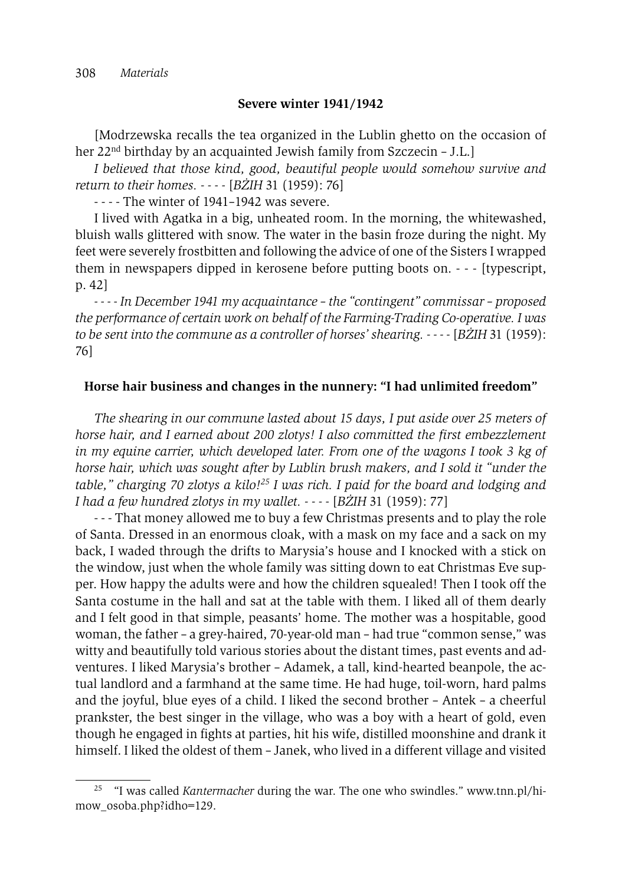#### **Severe winter 1941/1942**

[Modrzewska recalls the tea organized in the Lublin ghetto on the occasion of her 22nd birthday by an acquainted Jewish family from Szczecin – J.L.]

*I believed that those kind, good, beautiful people would somehow survive and return to their homes. - - - -* [*BŻIH* 31 (1959): 76]

- - - - The winter of 1941–1942 was severe.

I lived with Agatka in a big, unheated room. In the morning, the whitewashed, bluish walls glittered with snow. The water in the basin froze during the night. My feet were severely frostbitten and following the advice of one of the Sisters I wrapped them in newspapers dipped in kerosene before putting boots on. - - - [typescript, p. 42]

*- - - - In December 1941 my acquaintance – the "contingent" commissar – proposed the performance of certain work on behalf of the Farming-Trading Co-operative. I was to be sent into the commune as a controller of horses' shearing. - - - -* [*BŻIH* 31 (1959): 76]

## **Horse hair business and changes in the nunnery: "I had unlimited freedom"**

*The shearing in our commune lasted about 15 days, I put aside over 25 meters of horse hair, and I earned about 200 zlotys! I also committed the first embezzlement in my equine carrier, which developed later. From one of the wagons I took 3 kg of horse hair, which was sought after by Lublin brush makers, and I sold it "under the table," charging 70 zlotys a kilo!25 I was rich. I paid for the board and lodging and I had a few hundred zlotys in my wallet. - - - -* [*BŻIH* 31 (1959): 77]

- - - That money allowed me to buy a few Christmas presents and to play the role of Santa. Dressed in an enormous cloak, with a mask on my face and a sack on my back, I waded through the drifts to Marysia's house and I knocked with a stick on the window, just when the whole family was sitting down to eat Christmas Eve supper. How happy the adults were and how the children squealed! Then I took off the Santa costume in the hall and sat at the table with them. I liked all of them dearly and I felt good in that simple, peasants' home. The mother was a hospitable, good woman, the father – a grey-haired, 70-year-old man – had true "common sense," was witty and beautifully told various stories about the distant times, past events and adventures. I liked Marysia's brother – Adamek, a tall, kind-hearted beanpole, the actual landlord and a farmhand at the same time. He had huge, toil-worn, hard palms and the joyful, blue eyes of a child. I liked the second brother – Antek – a cheerful prankster, the best singer in the village, who was a boy with a heart of gold, even though he engaged in fights at parties, hit his wife, distilled moonshine and drank it himself. I liked the oldest of them – Janek, who lived in a different village and visited

<sup>25 &</sup>quot;I was called *Kantermacher* during the war. The one who swindles." www.tnn.pl/himow\_osoba.php?idho=129.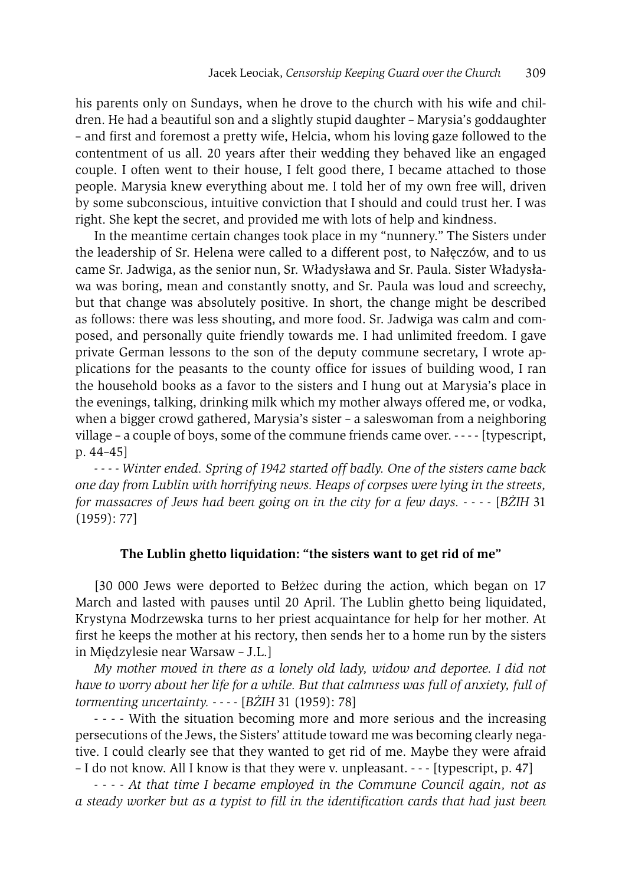his parents only on Sundays, when he drove to the church with his wife and children. He had a beautiful son and a slightly stupid daughter – Marysia's goddaughter – and first and foremost a pretty wife, Helcia, whom his loving gaze followed to the contentment of us all. 20 years after their wedding they behaved like an engaged couple. I often went to their house, I felt good there, I became attached to those people. Marysia knew everything about me. I told her of my own free will, driven by some subconscious, intuitive conviction that I should and could trust her. I was right. She kept the secret, and provided me with lots of help and kindness.

In the meantime certain changes took place in my "nunnery." The Sisters under the leadership of Sr. Helena were called to a different post, to Nałęczów, and to us came Sr. Jadwiga, as the senior nun, Sr. Władysława and Sr. Paula. Sister Władysława was boring, mean and constantly snotty, and Sr. Paula was loud and screechy, but that change was absolutely positive. In short, the change might be described as follows: there was less shouting, and more food. Sr. Jadwiga was calm and composed, and personally quite friendly towards me. I had unlimited freedom. I gave private German lessons to the son of the deputy commune secretary, I wrote applications for the peasants to the county office for issues of building wood, I ran the household books as a favor to the sisters and I hung out at Marysia's place in the evenings, talking, drinking milk which my mother always offered me, or vodka, when a bigger crowd gathered, Marysia's sister – a saleswoman from a neighboring village – a couple of boys, some of the commune friends came over. - - - - [typescript, p. 44–45]

*- - - - Winter ended. Spring of 1942 started off badly. One of the sisters came back one day from Lublin with horrifying news. Heaps of corpses were lying in the streets, for massacres of Jews had been going on in the city for a few days. - - - -* [*BŻIH* 31 (1959): 77]

#### **The Lublin ghetto liquidation: "the sisters want to get rid of me"**

[30 000 Jews were deported to Bełżec during the action, which began on 17 March and lasted with pauses until 20 April. The Lublin ghetto being liquidated, Krystyna Modrzewska turns to her priest acquaintance for help for her mother. At first he keeps the mother at his rectory, then sends her to a home run by the sisters in Międzylesie near Warsaw – J.L.]

*My mother moved in there as a lonely old lady, widow and deportee. I did not have to worry about her life for a while. But that calmness was full of anxiety, full of tormenting uncertainty. - - - -* [*BŻIH* 31 (1959): 78]

- - - - With the situation becoming more and more serious and the increasing persecutions of the Jews, the Sisters' attitude toward me was becoming clearly negative. I could clearly see that they wanted to get rid of me. Maybe they were afraid – I do not know. All I know is that they were v. unpleasant. - - - [typescript, p. 47]

*- - - - At that time I became employed in the Commune Council again, not as a steady worker but as a typist to fill in the identification cards that had just been*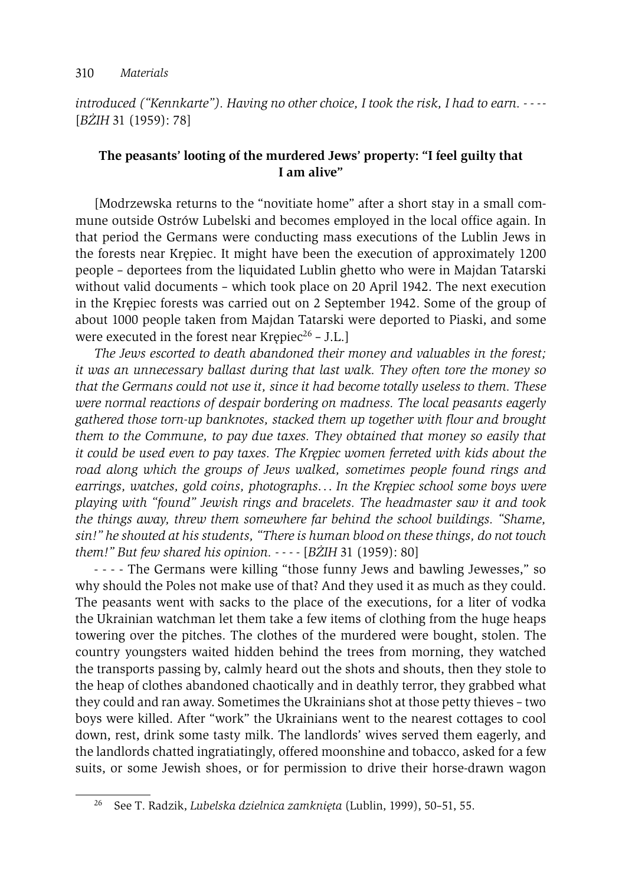*introduced ("Kennkarte"). Having no other choice, I took the risk, I had to earn. - - - -* [*BŻIH* 31 (1959): 78]

## **The peasants' looting of the murdered Jews' property: "I feel guilty that I am alive"**

[Modrzewska returns to the "novitiate home" after a short stay in a small commune outside Ostrów Lubelski and becomes employed in the local office again. In that period the Germans were conducting mass executions of the Lublin Jews in the forests near Krępiec. It might have been the execution of approximately 1200 people – deportees from the liquidated Lublin ghetto who were in Majdan Tatarski without valid documents – which took place on 20 April 1942. The next execution in the Krępiec forests was carried out on 2 September 1942. Some of the group of about 1000 people taken from Majdan Tatarski were deported to Piaski, and some were executed in the forest near Krępiec<sup>26</sup> – J.L.]

*The Jews escorted to death abandoned their money and valuables in the forest; it was an unnecessary ballast during that last walk. They often tore the money so that the Germans could not use it, since it had become totally useless to them. These were normal reactions of despair bordering on madness. The local peasants eagerly gathered those torn-up banknotes, stacked them up together with flour and brought them to the Commune, to pay due taxes. They obtained that money so easily that it could be used even to pay taxes. The Krępiec women ferreted with kids about the road along which the groups of Jews walked, sometimes people found rings and earrings, watches, gold coins, photographs*. . . *In the Krępiec school some boys were playing with "found" Jewish rings and bracelets. The headmaster saw it and took the things away, threw them somewhere far behind the school buildings. "Shame, sin!" he shouted at his students, "There is human blood on these things, do not touch them!" But few shared his opinion. - - - -* [*BŻIH* 31 (1959): 80]

- - - - The Germans were killing "those funny Jews and bawling Jewesses," so why should the Poles not make use of that? And they used it as much as they could. The peasants went with sacks to the place of the executions, for a liter of vodka the Ukrainian watchman let them take a few items of clothing from the huge heaps towering over the pitches. The clothes of the murdered were bought, stolen. The country youngsters waited hidden behind the trees from morning, they watched the transports passing by, calmly heard out the shots and shouts, then they stole to the heap of clothes abandoned chaotically and in deathly terror, they grabbed what they could and ran away. Sometimes the Ukrainians shot at those petty thieves – two boys were killed. After "work" the Ukrainians went to the nearest cottages to cool down, rest, drink some tasty milk. The landlords' wives served them eagerly, and the landlords chatted ingratiatingly, offered moonshine and tobacco, asked for a few suits, or some Jewish shoes, or for permission to drive their horse-drawn wagon

<sup>26</sup> See T. Radzik, *Lubelska dzielnica zamknięta* (Lublin, 1999), 50–51, 55.